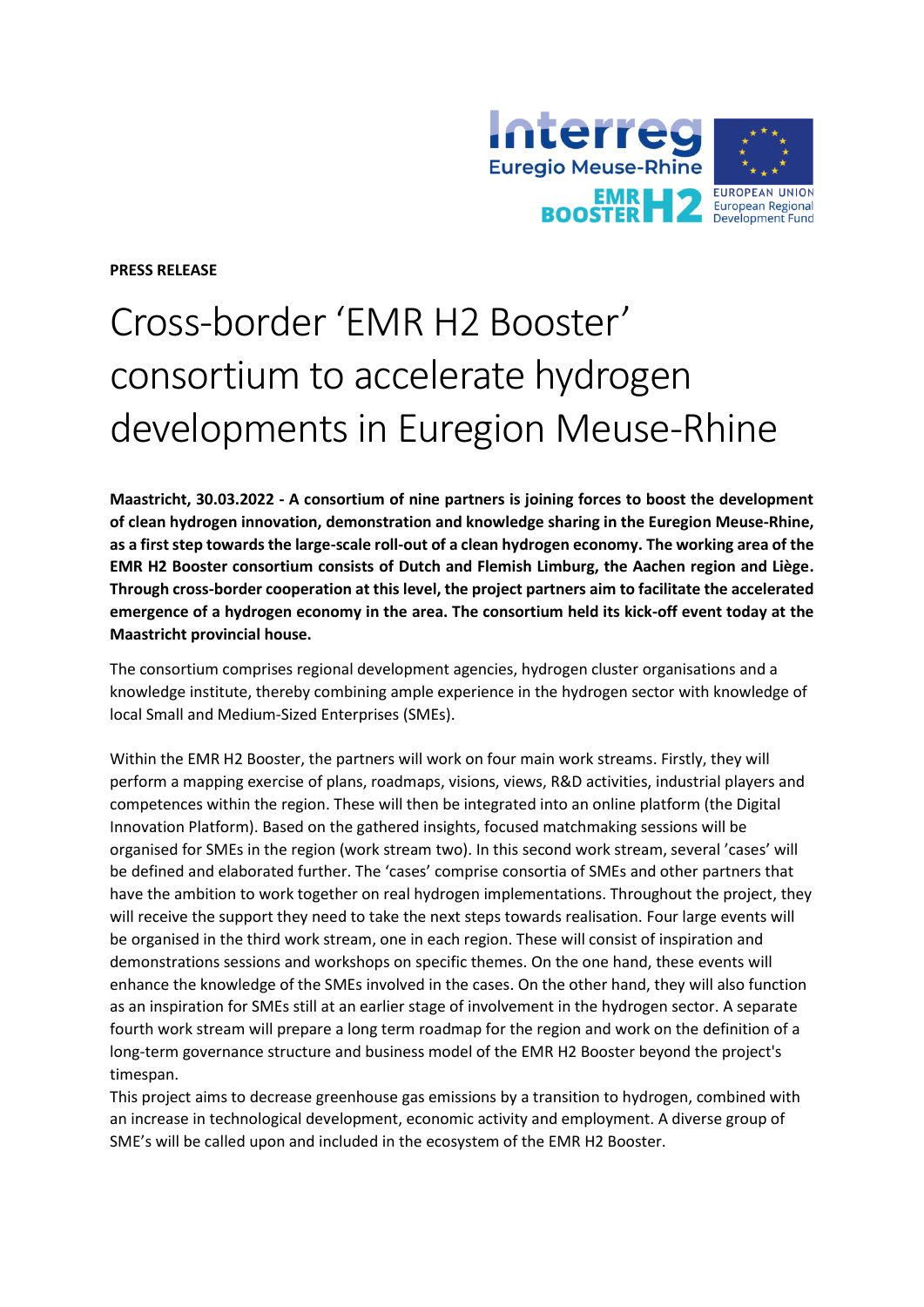

**PRESS RELEASE**

# Cross-border 'EMR H2 Booster' consortium to accelerate hydrogen developments in Euregion Meuse-Rhine

**Maastricht, 30.03.2022 - A consortium of nine partners is joining forces to boost the development of clean hydrogen innovation, demonstration and knowledge sharing in the Euregion Meuse-Rhine, as a first step towards the large-scale roll-out of a clean hydrogen economy. The working area of the EMR H2 Booster consortium consists of Dutch and Flemish Limburg, the Aachen region and Liège. Through cross-border cooperation at this level, the project partners aim to facilitate the accelerated emergence of a hydrogen economy in the area. The consortium held its kick-off event today at the Maastricht provincial house.**

The consortium comprises regional development agencies, hydrogen cluster organisations and a knowledge institute, thereby combining ample experience in the hydrogen sector with knowledge of local Small and Medium-Sized Enterprises (SMEs).

Within the EMR H2 Booster, the partners will work on four main work streams. Firstly, they will perform a mapping exercise of plans, roadmaps, visions, views, R&D activities, industrial players and competences within the region. These will then be integrated into an online platform (the Digital Innovation Platform). Based on the gathered insights, focused matchmaking sessions will be organised for SMEs in the region (work stream two). In this second work stream, several 'cases' will be defined and elaborated further. The 'cases' comprise consortia of SMEs and other partners that have the ambition to work together on real hydrogen implementations. Throughout the project, they will receive the support they need to take the next steps towards realisation. Four large events will be organised in the third work stream, one in each region. These will consist of inspiration and demonstrations sessions and workshops on specific themes. On the one hand, these events will enhance the knowledge of the SMEs involved in the cases. On the other hand, they will also function as an inspiration for SMEs still at an earlier stage of involvement in the hydrogen sector. A separate fourth work stream will prepare a long term roadmap for the region and work on the definition of a long-term governance structure and business model of the EMR H2 Booster beyond the project's timespan.

This project aims to decrease greenhouse gas emissions by a transition to hydrogen, combined with an increase in technological development, economic activity and employment. A diverse group of SME's will be called upon and included in the ecosystem of the EMR H2 Booster.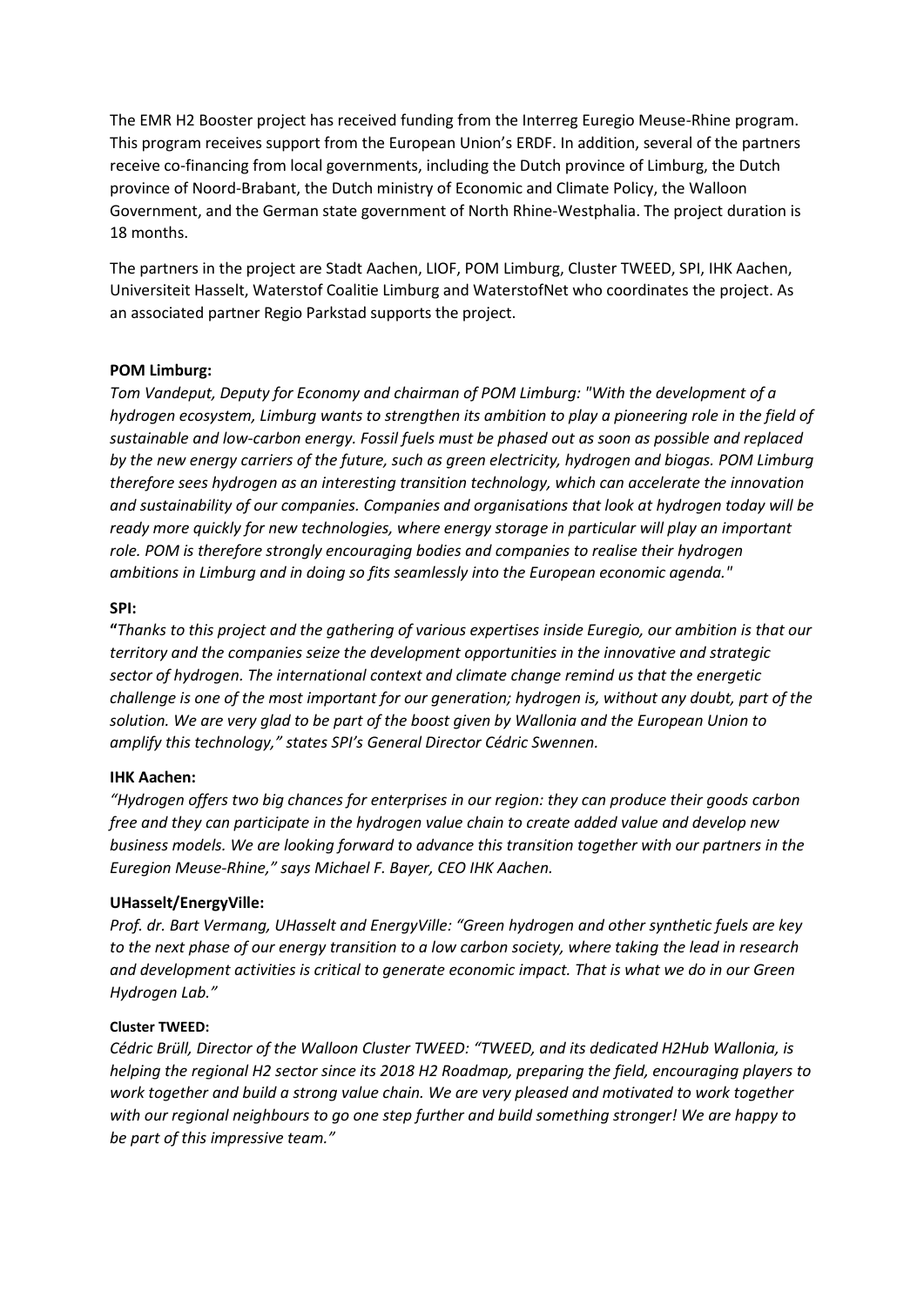The EMR H2 Booster project has received funding from the Interreg Euregio Meuse-Rhine program. This program receives support from the European Union's ERDF. In addition, several of the partners receive co-financing from local governments, including the Dutch province of Limburg, the Dutch province of Noord-Brabant, the Dutch ministry of Economic and Climate Policy, the Walloon Government, and the German state government of North Rhine-Westphalia. The project duration is 18 months.

The partners in the project are Stadt Aachen, LIOF, POM Limburg, Cluster TWEED, SPI, IHK Aachen, Universiteit Hasselt, Waterstof Coalitie Limburg and WaterstofNet who coordinates the project. As an associated partner Regio Parkstad supports the project.

## **POM Limburg:**

*Tom Vandeput, Deputy for Economy and chairman of POM Limburg: "With the development of a hydrogen ecosystem, Limburg wants to strengthen its ambition to play a pioneering role in the field of sustainable and low-carbon energy. Fossil fuels must be phased out as soon as possible and replaced by the new energy carriers of the future, such as green electricity, hydrogen and biogas. POM Limburg therefore sees hydrogen as an interesting transition technology, which can accelerate the innovation and sustainability of our companies. Companies and organisations that look at hydrogen today will be ready more quickly for new technologies, where energy storage in particular will play an important role. POM is therefore strongly encouraging bodies and companies to realise their hydrogen ambitions in Limburg and in doing so fits seamlessly into the European economic agenda."*

## **SPI:**

**"***Thanks to this project and the gathering of various expertises inside Euregio, our ambition is that our territory and the companies seize the development opportunities in the innovative and strategic sector of hydrogen. The international context and climate change remind us that the energetic challenge is one of the most important for our generation; hydrogen is, without any doubt, part of the solution. We are very glad to be part of the boost given by Wallonia and the European Union to amplify this technology," states SPI's General Director Cédric Swennen.*

## **IHK Aachen:**

*"Hydrogen offers two big chances for enterprises in our region: they can produce their goods carbon free and they can participate in the hydrogen value chain to create added value and develop new business models. We are looking forward to advance this transition together with our partners in the Euregion Meuse-Rhine," says Michael F. Bayer, CEO IHK Aachen.*

## **UHasselt/EnergyVille:**

*Prof. dr. Bart Vermang, UHasselt and EnergyVille: "Green hydrogen and other synthetic fuels are key to the next phase of our energy transition to a low carbon society, where taking the lead in research and development activities is critical to generate economic impact. That is what we do in our Green Hydrogen Lab."*

## **Cluster TWEED:**

*Cédric Brüll, Director of the Walloon Cluster TWEED: "TWEED, and its dedicated H2Hub Wallonia, is helping the regional H2 sector since its 2018 H2 Roadmap, preparing the field, encouraging players to work together and build a strong value chain. We are very pleased and motivated to work together with our regional neighbours to go one step further and build something stronger! We are happy to be part of this impressive team."*